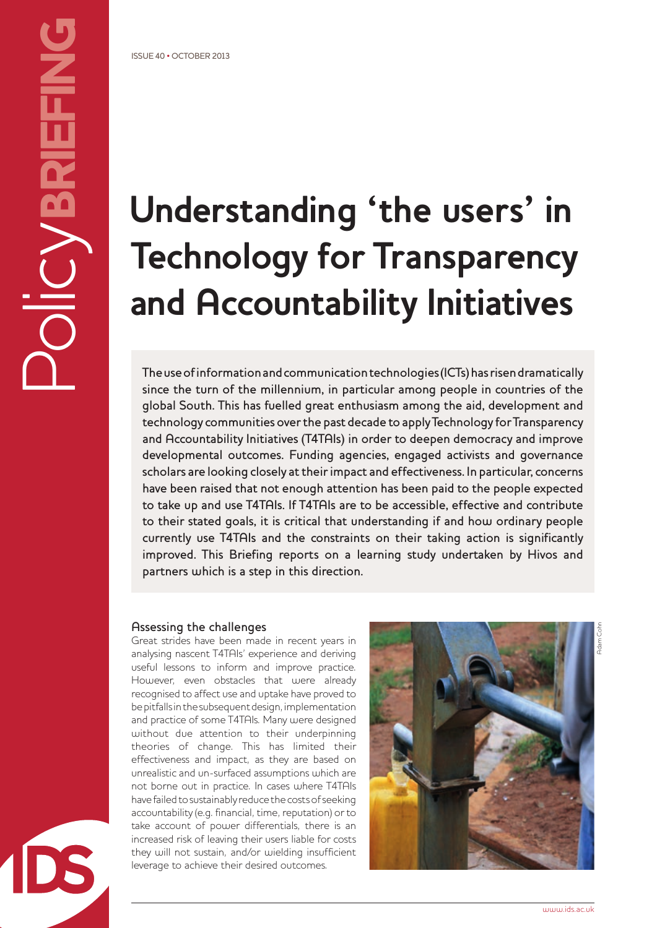# **Understanding 'the users' in Technology for Transparency and Accountability Initiatives**

The use of information and communication technologies (ICTs) has risen dramatically since the turn of the millennium, in particular among people in countries of the global South. This has fuelled great enthusiasm among the aid, development and technology communities over the past decade to apply Technology for Transparency and Accountability Initiatives (T4TAIs) in order to deepen democracy and improve developmental outcomes. Funding agencies, engaged activists and governance scholars are looking closely at their impact and effectiveness. In particular, concerns have been raised that not enough attention has been paid to the people expected to take up and use T4TAIs. If T4TAIs are to be accessible, effective and contribute to their stated goals, it is critical that understanding if and how ordinary people currently use T4TAIs and the constraints on their taking action is significantly improved. This Briefing reports on a learning study undertaken by Hivos and partners which is a step in this direction.

#### Assessing the challenges

Great strides have been made in recent years in analysing nascent T4TAIs' experience and deriving useful lessons to inform and improve practice. However, even obstacles that were already recognised to affect use and uptake have proved to be pitfalls in the subsequent design, implementation and practice of some T4TAIs. Many were designed without due attention to their underpinning theories of change. This has limited their effectiveness and impact, as they are based on unrealistic and un-surfaced assumptions which are not borne out in practice. In cases where T4TAIs have failed to sustainably reduce the costs of seeking accountability (e.g. financial, time, reputation) or to take account of power differentials, there is an increased risk of leaving their users liable for costs they will not sustain, and/or wielding insufficient leverage to achieve their desired outcomes.

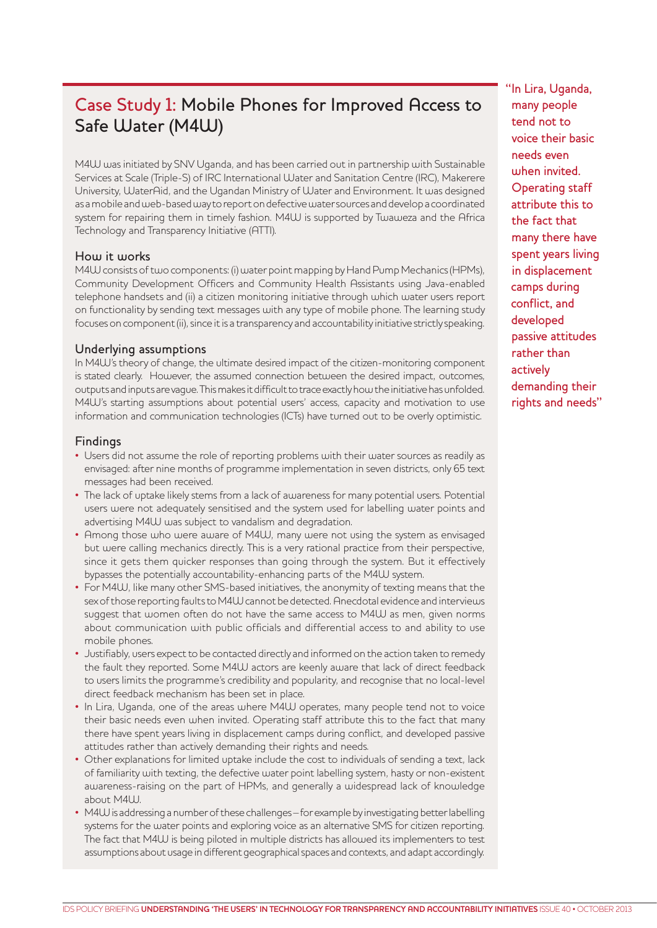# Case Study 1: Mobile Phones for Improved Access to Safe Water (M4W)

M4W was initiated by SNV Uganda, and has been carried out in partnership with Sustainable Services at Scale (Triple-S) of IRC International Water and Sanitation Centre (IRC), Makerere University, WaterAid, and the Ugandan Ministry of Water and Environment. It was designed as a mobile and web-based way to report on defective water sources and develop a coordinated system for repairing them in timely fashion. M4W is supported by Twaweza and the Africa Technology and Transparency Initiative (ATTI).

#### How it works

M4W consists of two components: (i) water point mapping by Hand Pump Mechanics (HPMs), Community Development Officers and Community Health Assistants using Java-enabled telephone handsets and (ii) a citizen monitoring initiative through which water users report on functionality by sending text messages with any type of mobile phone. The learning study focuses on component (ii), since it is a transparency and accountability initiative strictly speaking.

#### Underlying assumptions

In M4W's theory of change, the ultimate desired impact of the citizen-monitoring component is stated clearly. However, the assumed connection between the desired impact, outcomes, outputs and inputs are vague. This makes it difficult to trace exactly how the initiative has unfolded. M4W's starting assumptions about potential users' access, capacity and motivation to use information and communication technologies (ICTs) have turned out to be overly optimistic.

#### Findings

- Users did not assume the role of reporting problems with their water sources as readily as envisaged: after nine months of programme implementation in seven districts, only 65 text messages had been received.
- The lack of uptake likely stems from a lack of awareness for many potential users. Potential users were not adequately sensitised and the system used for labelling water points and advertising M4W was subject to vandalism and degradation.
- Among those who were aware of M4W, many were not using the system as envisaged but were calling mechanics directly. This is a very rational practice from their perspective, since it gets them quicker responses than going through the system. But it effectively bypasses the potentially accountability-enhancing parts of the M4W system.
- For M4W, like many other SMS-based initiatives, the anonymity of texting means that the sex of those reporting faults to M4W cannot be detected. Anecdotal evidence and interviews suggest that women often do not have the same access to M4W as men, given norms about communication with public officials and differential access to and ability to use mobile phones.
- Justifiably, users expect to be contacted directly and informed on the action taken to remedy the fault they reported. Some M4W actors are keenly aware that lack of direct feedback to users limits the programme's credibility and popularity, and recognise that no local-level direct feedback mechanism has been set in place.
- In Lira, Uganda, one of the areas where M4W operates, many people tend not to voice their basic needs even when invited. Operating staff attribute this to the fact that many there have spent years living in displacement camps during conflict, and developed passive attitudes rather than actively demanding their rights and needs.
- Other explanations for limited uptake include the cost to individuals of sending a text, lack of familiarity with texting, the defective water point labelling system, hasty or non-existent awareness-raising on the part of HPMs, and generally a widespread lack of knowledge about M4W.
- M4W is addressing a number of these challenges for example by investigating better labelling systems for the water points and exploring voice as an alternative SMS for citizen reporting. The fact that M4W is being piloted in multiple districts has allowed its implementers to test assumptions about usage in different geographical spaces and contexts, and adapt accordingly.

"In Lira, Uganda, many people tend not to voice their basic needs even when invited. Operating staff attribute this to the fact that many there have spent years living in displacement camps during conflict, and developed passive attitudes rather than actively demanding their rights and needs"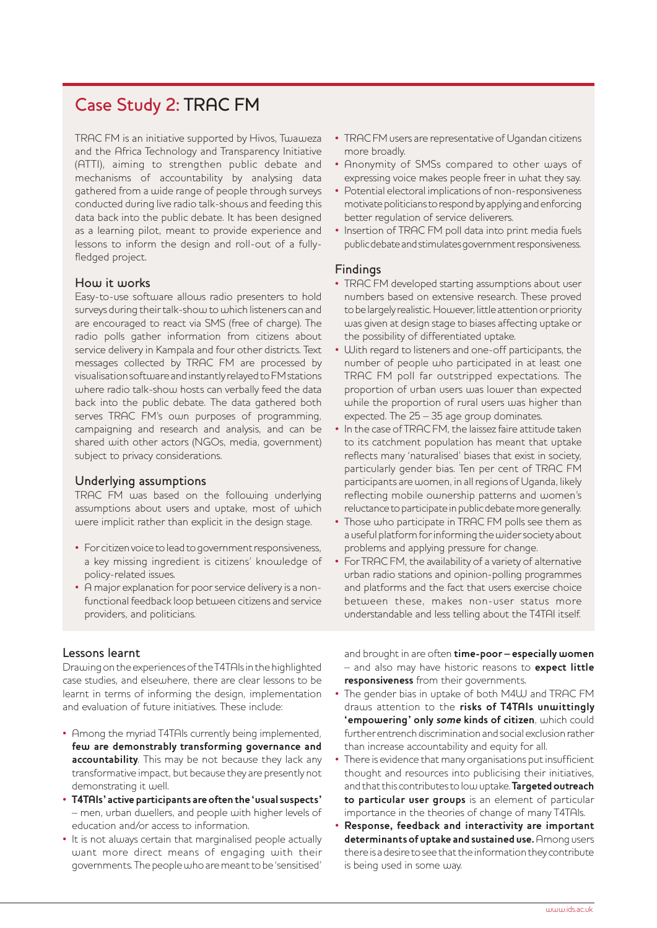## Case Study 2: TRAC FM

TRAC FM is an initiative supported by Hivos, Twaweza and the Africa Technology and Transparency Initiative (ATTI), aiming to strengthen public debate and mechanisms of accountability by analysing data gathered from a wide range of people through surveys conducted during live radio talk-shows and feeding this data back into the public debate. It has been designed as a learning pilot, meant to provide experience and lessons to inform the design and roll-out of a fullyfledged project.

### How it works

Easy-to-use software allows radio presenters to hold surveys during their talk-show to which listeners can and are encouraged to react via SMS (free of charge). The radio polls gather information from citizens about service delivery in Kampala and four other districts. Text messages collected by TRAC FM are processed by visualisation software and instantly relayed to FM stations where radio talk-show hosts can verbally feed the data back into the public debate. The data gathered both serves TRAC FM's own purposes of programming, campaigning and research and analysis, and can be shared with other actors (NGOs, media, government) subject to privacy considerations.

#### Underlying assumptions

TRAC FM was based on the following underlying assumptions about users and uptake, most of which were implicit rather than explicit in the design stage.

- For citizen voice to lead to government responsiveness, a key missing ingredient is citizens' knowledge of policy-related issues.
- A major explanation for poor service delivery is a nonfunctional feedback loop between citizens and service providers, and politicians.
- TRAC FM users are representative of Ugandan citizens more broadly.
- Anonymity of SMSs compared to other ways of expressing voice makes people freer in what they say.
- Potential electoral implications of non-responsiveness motivate politicians to respond by applying and enforcing better regulation of service deliverers.
- Insertion of TRAC FM poll data into print media fuels public debate and stimulates government responsiveness.

#### Findings

- TRAC FM developed starting assumptions about user numbers based on extensive research. These proved to be largely realistic. However, little attention or priority was given at design stage to biases affecting uptake or the possibility of differentiated uptake.
- With regard to listeners and one-off participants, the number of people who participated in at least one TRAC FM poll far outstripped expectations. The proportion of urban users was lower than expected while the proportion of rural users was higher than expected. The 25 – 35 age group dominates.
- In the case of TRAC FM, the laissez faire attitude taken to its catchment population has meant that uptake reflects many 'naturalised' biases that exist in society, particularly gender bias. Ten per cent of TRAC FM participants are women, in all regions of Uganda, likely reflecting mobile ownership patterns and women's reluctance to participate in public debate more generally.
- Those who participate in TRAC FM polls see them as a useful platform for informing the wider society about problems and applying pressure for change.
- For TRAC FM, the availability of a variety of alternative urban radio stations and opinion-polling programmes and platforms and the fact that users exercise choice between these, makes non-user status more understandable and less telling about the T4TAI itself.

#### Lessons learnt

Drawing on the experiences of the T4TAIs in the highlighted case studies, and elsewhere, there are clear lessons to be learnt in terms of informing the design, implementation and evaluation of future initiatives. These include:

- Among the myriad T4TAIs currently being implemented, **few are demonstrably transforming governance and accountability**. This may be not because they lack any transformative impact, but because they are presently not demonstrating it well.
- **T4TAIs' active participants are often the 'usual suspects'** – men, urban dwellers, and people with higher levels of education and/or access to information.
- It is not always certain that marginalised people actually want more direct means of engaging with their governments. The people who are meant to be 'sensitised'

and brought in are often **time-poor – especially women** – and also may have historic reasons to **expect little responsiveness** from their governments.

- The gender bias in uptake of both M4W and TRAC FM draws attention to the **risks of T4TAIs unwittingly 'empowering' only some kinds of citizen**, which could further entrench discrimination and social exclusion rather than increase accountability and equity for all.
- There is evidence that many organisations put insufficient thought and resources into publicising their initiatives, and that this contributes to low uptake. **Targeted outreach to particular user groups** is an element of particular importance in the theories of change of many T4TAIs.
- **Response, feedback and interactivity are important determinants of uptake and sustained use.** Among users there is a desire to see that the information they contribute is being used in some way.